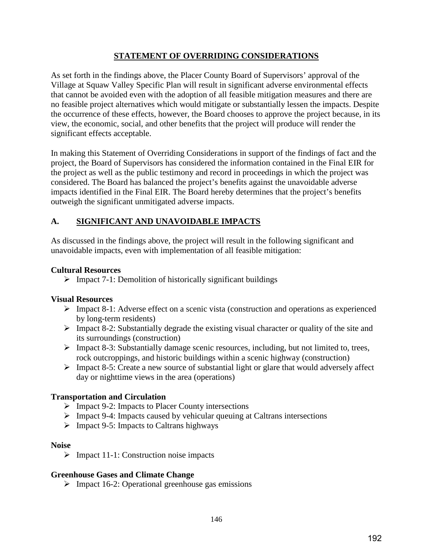### **STATEMENT OF OVERRIDING CONSIDERATIONS**

As set forth in the findings above, the Placer County Board of Supervisors' approval of the Village at Squaw Valley Specific Plan will result in significant adverse environmental effects that cannot be avoided even with the adoption of all feasible mitigation measures and there are no feasible project alternatives which would mitigate or substantially lessen the impacts. Despite the occurrence of these effects, however, the Board chooses to approve the project because, in its view, the economic, social, and other benefits that the project will produce will render the significant effects acceptable.

In making this Statement of Overriding Considerations in support of the findings of fact and the project, the Board of Supervisors has considered the information contained in the Final EIR for the project as well as the public testimony and record in proceedings in which the project was considered. The Board has balanced the project's benefits against the unavoidable adverse impacts identified in the Final EIR. The Board hereby determines that the project's benefits outweigh the significant unmitigated adverse impacts.

### **A. SIGNIFICANT AND UNAVOIDABLE IMPACTS**

As discussed in the findings above, the project will result in the following significant and unavoidable impacts, even with implementation of all feasible mitigation:

#### **Cultural Resources**

 $\triangleright$  Impact 7-1: Demolition of historically significant buildings

#### **Visual Resources**

- Impact 8-1: Adverse effect on a scenic vista (construction and operations as experienced by long-term residents)
- $\triangleright$  Impact 8-2: Substantially degrade the existing visual character or quality of the site and its surroundings (construction)
- $\triangleright$  Impact 8-3: Substantially damage scenic resources, including, but not limited to, trees, rock outcroppings, and historic buildings within a scenic highway (construction)
- $\triangleright$  Impact 8-5: Create a new source of substantial light or glare that would adversely affect day or nighttime views in the area (operations)

#### **Transportation and Circulation**

- $\triangleright$  Impact 9-2: Impacts to Placer County intersections
- $\triangleright$  Impact 9-4: Impacts caused by vehicular queuing at Caltrans intersections
- $\triangleright$  Impact 9-5: Impacts to Caltrans highways

#### **Noise**

 $\triangleright$  Impact 11-1: Construction noise impacts

#### **Greenhouse Gases and Climate Change**

 $\triangleright$  Impact 16-2: Operational greenhouse gas emissions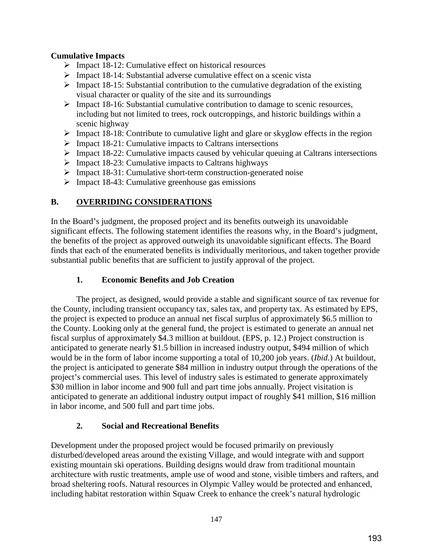### **Cumulative Impacts**

- $\triangleright$  Impact 18-12: Cumulative effect on historical resources
- $\triangleright$  Impact 18-14: Substantial adverse cumulative effect on a scenic vista
- $\triangleright$  Impact 18-15: Substantial contribution to the cumulative degradation of the existing visual character or quality of the site and its surroundings
- $\triangleright$  Impact 18-16: Substantial cumulative contribution to damage to scenic resources, including but not limited to trees, rock outcroppings, and historic buildings within a scenic highway
- $\triangleright$  Impact 18-18: Contribute to cumulative light and glare or skyglow effects in the region
- $\triangleright$  Impact 18-21: Cumulative impacts to Caltrans intersections
- $\triangleright$  Impact 18-22: Cumulative impacts caused by vehicular queuing at Caltrans intersections
- $\triangleright$  Impact 18-23: Cumulative impacts to Caltrans highways
- $\triangleright$  Impact 18-31: Cumulative short-term construction-generated noise
- $\triangleright$  Impact 18-43: Cumulative greenhouse gas emissions

### **B. OVERRIDING CONSIDERATIONS**

In the Board's judgment, the proposed project and its benefits outweigh its unavoidable significant effects. The following statement identifies the reasons why, in the Board's judgment, the benefits of the project as approved outweigh its unavoidable significant effects. The Board finds that each of the enumerated benefits is individually meritorious, and taken together provide substantial public benefits that are sufficient to justify approval of the project.

## **1. Economic Benefits and Job Creation**

The project, as designed, would provide a stable and significant source of tax revenue for the County, including transient occupancy tax, sales tax, and property tax. As estimated by EPS, the project is expected to produce an annual net fiscal surplus of approximately \$6.5 million to the County. Looking only at the general fund, the project is estimated to generate an annual net fiscal surplus of approximately \$4.3 million at buildout. (EPS, p. 12.) Project construction is anticipated to generate nearly \$1.5 billion in increased industry output, \$494 million of which would be in the form of labor income supporting a total of 10,200 job years. (*Ibid*.) At buildout, the project is anticipated to generate \$84 million in industry output through the operations of the project's commercial uses. This level of industry sales is estimated to generate approximately \$30 million in labor income and 900 full and part time jobs annually. Project visitation is anticipated to generate an additional industry output impact of roughly \$41 million, \$16 million in labor income, and 500 full and part time jobs.

### **2. Social and Recreational Benefits**

Development under the proposed project would be focused primarily on previously disturbed/developed areas around the existing Village, and would integrate with and support existing mountain ski operations. Building designs would draw from traditional mountain architecture with rustic treatments, ample use of wood and stone, visible timbers and rafters, and broad sheltering roofs. Natural resources in Olympic Valley would be protected and enhanced, including habitat restoration within Squaw Creek to enhance the creek's natural hydrologic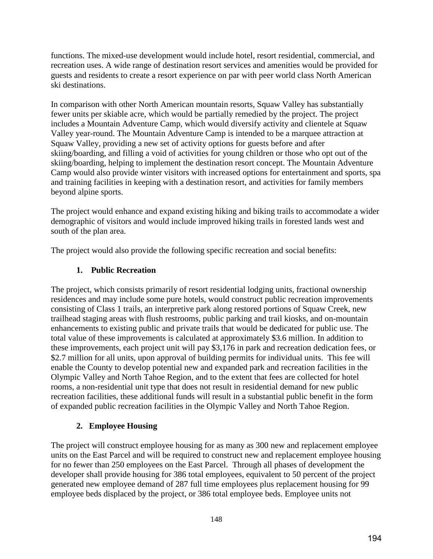functions. The mixed-use development would include hotel, resort residential, commercial, and recreation uses. A wide range of destination resort services and amenities would be provided for guests and residents to create a resort experience on par with peer world class North American ski destinations.

In comparison with other North American mountain resorts, Squaw Valley has substantially fewer units per skiable acre, which would be partially remedied by the project. The project includes a Mountain Adventure Camp, which would diversify activity and clientele at Squaw Valley year-round. The Mountain Adventure Camp is intended to be a marquee attraction at Squaw Valley, providing a new set of activity options for guests before and after skiing/boarding, and filling a void of activities for young children or those who opt out of the skiing/boarding, helping to implement the destination resort concept. The Mountain Adventure Camp would also provide winter visitors with increased options for entertainment and sports, spa and training facilities in keeping with a destination resort, and activities for family members beyond alpine sports.

The project would enhance and expand existing hiking and biking trails to accommodate a wider demographic of visitors and would include improved hiking trails in forested lands west and south of the plan area.

The project would also provide the following specific recreation and social benefits:

## **1. Public Recreation**

The project, which consists primarily of resort residential lodging units, fractional ownership residences and may include some pure hotels, would construct public recreation improvements consisting of Class 1 trails, an interpretive park along restored portions of Squaw Creek, new trailhead staging areas with flush restrooms, public parking and trail kiosks, and on-mountain enhancements to existing public and private trails that would be dedicated for public use. The total value of these improvements is calculated at approximately \$3.6 million. In addition to these improvements, each project unit will pay \$3,176 in park and recreation dedication fees, or \$2.7 million for all units, upon approval of building permits for individual units. This fee will enable the County to develop potential new and expanded park and recreation facilities in the Olympic Valley and North Tahoe Region, and to the extent that fees are collected for hotel rooms, a non-residential unit type that does not result in residential demand for new public recreation facilities, these additional funds will result in a substantial public benefit in the form of expanded public recreation facilities in the Olympic Valley and North Tahoe Region.

## **2. Employee Housing**

The project will construct employee housing for as many as 300 new and replacement employee units on the East Parcel and will be required to construct new and replacement employee housing for no fewer than 250 employees on the East Parcel. Through all phases of development the developer shall provide housing for 386 total employees, equivalent to 50 percent of the project generated new employee demand of 287 full time employees plus replacement housing for 99 employee beds displaced by the project, or 386 total employee beds. Employee units not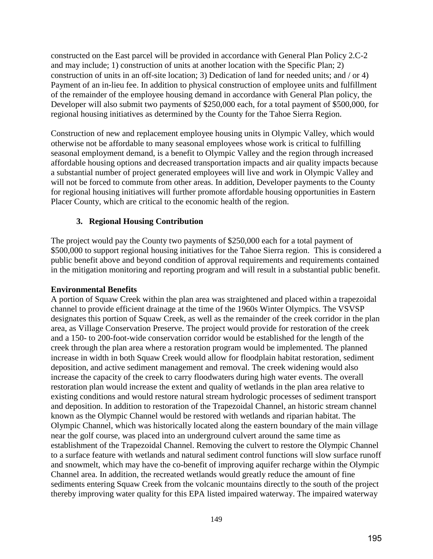constructed on the East parcel will be provided in accordance with General Plan Policy 2.C-2 and may include; 1) construction of units at another location with the Specific Plan; 2) construction of units in an off-site location; 3) Dedication of land for needed units; and / or 4) Payment of an in-lieu fee. In addition to physical construction of employee units and fulfillment of the remainder of the employee housing demand in accordance with General Plan policy, the Developer will also submit two payments of \$250,000 each, for a total payment of \$500,000, for regional housing initiatives as determined by the County for the Tahoe Sierra Region.

Construction of new and replacement employee housing units in Olympic Valley, which would otherwise not be affordable to many seasonal employees whose work is critical to fulfilling seasonal employment demand, is a benefit to Olympic Valley and the region through increased affordable housing options and decreased transportation impacts and air quality impacts because a substantial number of project generated employees will live and work in Olympic Valley and will not be forced to commute from other areas. In addition, Developer payments to the County for regional housing initiatives will further promote affordable housing opportunities in Eastern Placer County, which are critical to the economic health of the region.

### **3. Regional Housing Contribution**

The project would pay the County two payments of \$250,000 each for a total payment of \$500,000 to support regional housing initiatives for the Tahoe Sierra region. This is considered a public benefit above and beyond condition of approval requirements and requirements contained in the mitigation monitoring and reporting program and will result in a substantial public benefit.

### **Environmental Benefits**

A portion of Squaw Creek within the plan area was straightened and placed within a trapezoidal channel to provide efficient drainage at the time of the 1960s Winter Olympics. The VSVSP designates this portion of Squaw Creek, as well as the remainder of the creek corridor in the plan area, as Village Conservation Preserve. The project would provide for restoration of the creek and a 150- to 200-foot-wide conservation corridor would be established for the length of the creek through the plan area where a restoration program would be implemented. The planned increase in width in both Squaw Creek would allow for floodplain habitat restoration, sediment deposition, and active sediment management and removal. The creek widening would also increase the capacity of the creek to carry floodwaters during high water events. The overall restoration plan would increase the extent and quality of wetlands in the plan area relative to existing conditions and would restore natural stream hydrologic processes of sediment transport and deposition. In addition to restoration of the Trapezoidal Channel, an historic stream channel known as the Olympic Channel would be restored with wetlands and riparian habitat. The Olympic Channel, which was historically located along the eastern boundary of the main village near the golf course, was placed into an underground culvert around the same time as establishment of the Trapezoidal Channel. Removing the culvert to restore the Olympic Channel to a surface feature with wetlands and natural sediment control functions will slow surface runoff and snowmelt, which may have the co-benefit of improving aquifer recharge within the Olympic Channel area. In addition, the recreated wetlands would greatly reduce the amount of fine sediments entering Squaw Creek from the volcanic mountains directly to the south of the project thereby improving water quality for this EPA listed impaired waterway. The impaired waterway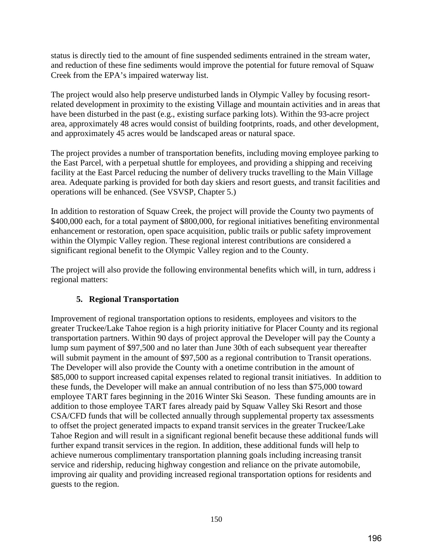status is directly tied to the amount of fine suspended sediments entrained in the stream water, and reduction of these fine sediments would improve the potential for future removal of Squaw Creek from the EPA's impaired waterway list.

The project would also help preserve undisturbed lands in Olympic Valley by focusing resortrelated development in proximity to the existing Village and mountain activities and in areas that have been disturbed in the past (e.g., existing surface parking lots). Within the 93-acre project area, approximately 48 acres would consist of building footprints, roads, and other development, and approximately 45 acres would be landscaped areas or natural space.

The project provides a number of transportation benefits, including moving employee parking to the East Parcel, with a perpetual shuttle for employees, and providing a shipping and receiving facility at the East Parcel reducing the number of delivery trucks travelling to the Main Village area. Adequate parking is provided for both day skiers and resort guests, and transit facilities and operations will be enhanced. (See VSVSP, Chapter 5.)

In addition to restoration of Squaw Creek, the project will provide the County two payments of \$400,000 each, for a total payment of \$800,000, for regional initiatives benefiting environmental enhancement or restoration, open space acquisition, public trails or public safety improvement within the Olympic Valley region. These regional interest contributions are considered a significant regional benefit to the Olympic Valley region and to the County.

The project will also provide the following environmental benefits which will, in turn, address i regional matters:

## **5. Regional Transportation**

Improvement of regional transportation options to residents, employees and visitors to the greater Truckee/Lake Tahoe region is a high priority initiative for Placer County and its regional transportation partners. Within 90 days of project approval the Developer will pay the County a lump sum payment of \$97,500 and no later than June 30th of each subsequent year thereafter will submit payment in the amount of \$97,500 as a regional contribution to Transit operations. The Developer will also provide the County with a onetime contribution in the amount of \$85,000 to support increased capital expenses related to regional transit initiatives. In addition to these funds, the Developer will make an annual contribution of no less than \$75,000 toward employee TART fares beginning in the 2016 Winter Ski Season. These funding amounts are in addition to those employee TART fares already paid by Squaw Valley Ski Resort and those CSA/CFD funds that will be collected annually through supplemental property tax assessments to offset the project generated impacts to expand transit services in the greater Truckee/Lake Tahoe Region and will result in a significant regional benefit because these additional funds will further expand transit services in the region. In addition, these additional funds will help to achieve numerous complimentary transportation planning goals including increasing transit service and ridership, reducing highway congestion and reliance on the private automobile, improving air quality and providing increased regional transportation options for residents and guests to the region.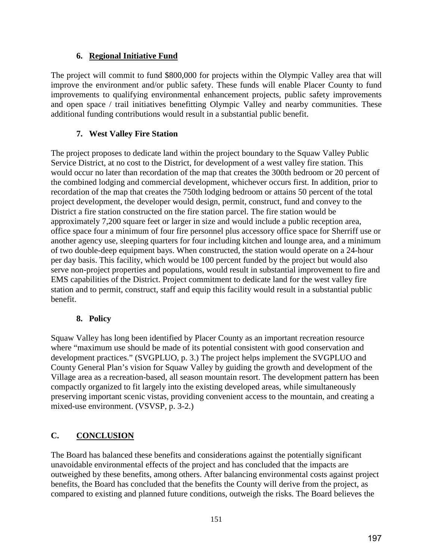### **6. Regional Initiative Fund**

The project will commit to fund \$800,000 for projects within the Olympic Valley area that will improve the environment and/or public safety. These funds will enable Placer County to fund improvements to qualifying environmental enhancement projects, public safety improvements and open space / trail initiatives benefitting Olympic Valley and nearby communities. These additional funding contributions would result in a substantial public benefit.

## **7. West Valley Fire Station**

The project proposes to dedicate land within the project boundary to the Squaw Valley Public Service District, at no cost to the District, for development of a west valley fire station. This would occur no later than recordation of the map that creates the 300th bedroom or 20 percent of the combined lodging and commercial development, whichever occurs first. In addition, prior to recordation of the map that creates the 750th lodging bedroom or attains 50 percent of the total project development, the developer would design, permit, construct, fund and convey to the District a fire station constructed on the fire station parcel. The fire station would be approximately 7,200 square feet or larger in size and would include a public reception area, office space four a minimum of four fire personnel plus accessory office space for Sherriff use or another agency use, sleeping quarters for four including kitchen and lounge area, and a minimum of two double-deep equipment bays. When constructed, the station would operate on a 24-hour per day basis. This facility, which would be 100 percent funded by the project but would also serve non-project properties and populations, would result in substantial improvement to fire and EMS capabilities of the District. Project commitment to dedicate land for the west valley fire station and to permit, construct, staff and equip this facility would result in a substantial public benefit.

### **8. Policy**

Squaw Valley has long been identified by Placer County as an important recreation resource where "maximum use should be made of its potential consistent with good conservation and development practices." (SVGPLUO, p. 3.) The project helps implement the SVGPLUO and County General Plan's vision for Squaw Valley by guiding the growth and development of the Village area as a recreation-based, all season mountain resort. The development pattern has been compactly organized to fit largely into the existing developed areas, while simultaneously preserving important scenic vistas, providing convenient access to the mountain, and creating a mixed-use environment. (VSVSP, p. 3-2.)

# **C. CONCLUSION**

The Board has balanced these benefits and considerations against the potentially significant unavoidable environmental effects of the project and has concluded that the impacts are outweighed by these benefits, among others. After balancing environmental costs against project benefits, the Board has concluded that the benefits the County will derive from the project, as compared to existing and planned future conditions, outweigh the risks. The Board believes the